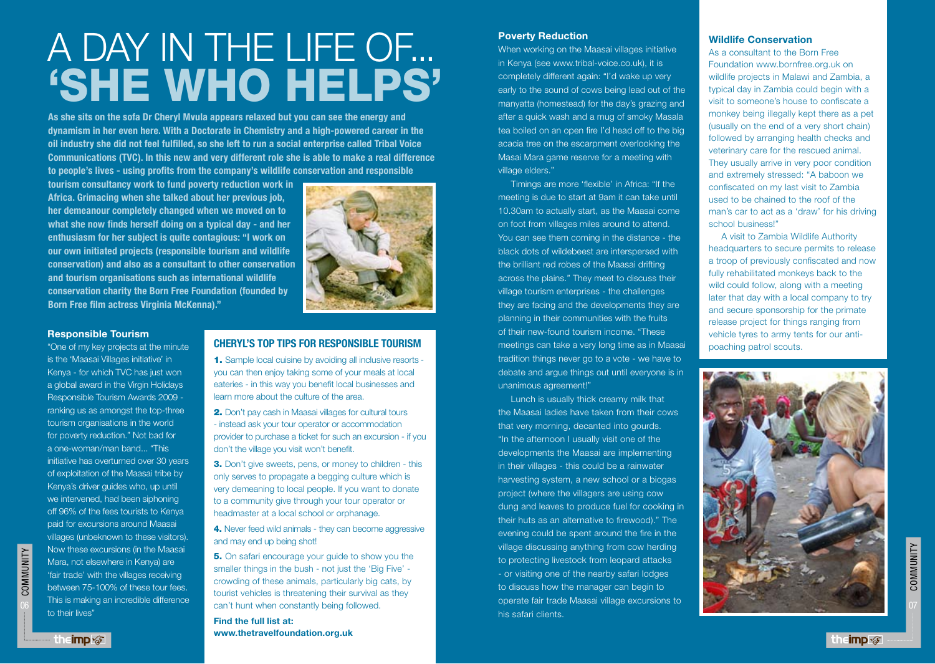# A DAY IN THE LIFE OF... 'SHE WHO HELPS'

**As she sits on the sofa Dr Cheryl Mvula appears relaxed but you can see the energy and dynamism in her even here. With a Doctorate in Chemistry and a high-powered career in the oil industry she did not feel fulfilled, so she left to run a social enterprise called Tribal Voice Communications (TVC). In this new and very different role she is able to make a real difference to people's lives - using profits from the company's wildlife conservation and responsible** 

**tourism consultancy work to fund poverty reduction work in Africa. Grimacing when she talked about her previous job, her demeanour completely changed when we moved on to what she now finds herself doing on a typical day - and her enthusiasm for her subject is quite contagious: "I work on our own initiated projects (responsible tourism and wildlife conservation) and also as a consultant to other conservation and tourism organisations such as international wildlife conservation charity the Born Free Foundation (founded by Born Free film actress Virginia McKenna)."** 



#### **Responsible Tourism**

"One of my key projects at the minute is the 'Maasai Villages initiative' in Kenya - for which TVC has just won a global award in the Virgin Holidays Responsible Tourism Awards 2009 ranking us as amongst the top-three tourism organisations in the world for poverty reduction." Not bad for a one-woman/man band... "This initiative has overturned over 30 years of exploitation of the Maasai tribe by Kenya's driver guides who, up until we intervened, had been siphoning off 96% of the fees tourists to Kenya paid for excursions around Maasai villages (unbeknown to these visitors). Now these excursions (in the Maasai Mara, not elsewhere in Kenya) are 'fair trade' with the villages receiving between 75-100% of these tour fees. This is making an incredible difference to their lives"

# **CHERYL'S TOP TIPS FOR RESPONSIBLE TOURISM**

1. Sample local cuisine by avoiding all inclusive resorts you can then enjoy taking some of your meals at local eateries - in this way you benefit local businesses and learn more about the culture of the area.

2. Don't pay cash in Maasai villages for cultural tours - instead ask your tour operator or accommodation provider to purchase a ticket for such an excursion - if you don't the village you visit won't benefit.

**3.** Don't give sweets, pens, or money to children - this only serves to propagate a begging culture which is very demeaning to local people. If you want to donate to a community give through your tour operator or headmaster at a local school or orphanage.

4. Never feed wild animals - they can become aggressive and may end up being shot!

5. On safari encourage your guide to show you the smaller things in the bush - not just the 'Big Five' crowding of these animals, particularly big cats, by tourist vehicles is threatening their survival as they can't hunt when constantly being followed.

**Find the full list at: www.thetravelfoundation.org.uk**

### **Poverty Reduction**

When working on the Maasai villages initiative in Kenya (see www.tribal-voice.co.uk), it is completely different again: "I'd wake up very early to the sound of cows being lead out of the manyatta (homestead) for the day's grazing and after a quick wash and a mug of smoky Masala tea boiled on an open fire I'd head off to the big acacia tree on the escarpment overlooking the Masai Mara game reserve for a meeting with village elders."

Timings are more 'flexible' in Africa: "If the meeting is due to start at 9am it can take until 10.30am to actually start, as the Maasai come on foot from villages miles around to attend. You can see them coming in the distance - the black dots of wildebeest are interspersed with the brilliant red robes of the Maasai drifting across the plains." They meet to discuss their village tourism enterprises - the challenges they are facing and the developments they are planning in their communities with the fruits of their new-found tourism income. "These meetings can take a very long time as in Maasai tradition things never go to a vote - we have to debate and argue things out until everyone is in unanimous agreement!"

Lunch is usually thick creamy milk that the Maasai ladies have taken from their cows that very morning, decanted into gourds. "In the afternoon I usually visit one of the developments the Maasai are implementing in their villages - this could be a rainwater harvesting system, a new school or a biogas project (where the villagers are using cow dung and leaves to produce fuel for cooking in their huts as an alternative to firewood)." The evening could be spent around the fire in the village discussing anything from cow herding to protecting livestock from leopard attacks - or visiting one of the nearby safari lodges to discuss how the manager can begin to operate fair trade Maasai village excursions to his safari clients.

#### **Wildlife Conservation**

As a consultant to the Born Free Foundation www.bornfree.org.uk on wildlife projects in Malawi and Zambia, a typical day in Zambia could begin with a visit to someone's house to confiscate a monkey being illegally kept there as a pet (usually on the end of a very short chain) followed by arranging health checks and veterinary care for the rescued animal. They usually arrive in very poor condition and extremely stressed: "A baboon we confiscated on my last visit to Zambia used to be chained to the roof of the man's car to act as a 'draw' for his driving school business!"

A visit to Zambia Wildlife Authority headquarters to secure permits to release a troop of previously confiscated and now fully rehabilitated monkeys back to the wild could follow, along with a meeting later that day with a local company to try and secure sponsorship for the primate release project for things ranging from vehicle tyres to army tents for our antipoaching patrol scouts.



COMMUNITY

**COMMUNITY**